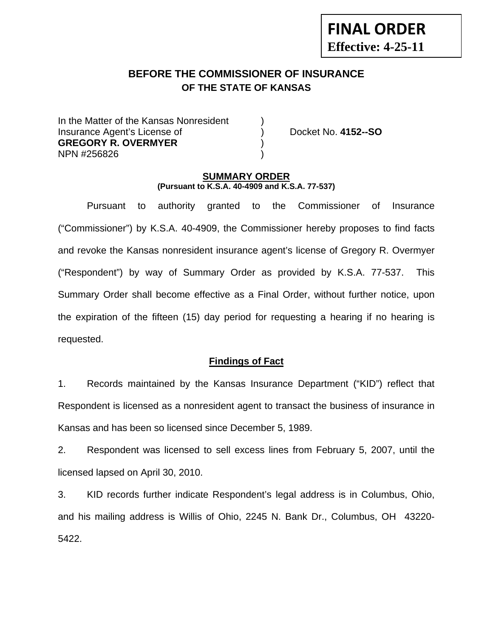# **BEFORE THE COMMISSIONER OF INSURANCE OF THE STATE OF KANSAS**

In the Matter of the Kansas Nonresident Insurance Agent's License of ) Docket No. **4152--SO GREGORY R. OVERMYER** ) NPN #256826 )

**FINAL ORDER**

**Effective: 4-25-11** 

### **SUMMARY ORDER (Pursuant to K.S.A. 40-4909 and K.S.A. 77-537)**

 Pursuant to authority granted to the Commissioner of Insurance ("Commissioner") by K.S.A. 40-4909, the Commissioner hereby proposes to find facts and revoke the Kansas nonresident insurance agent's license of Gregory R. Overmyer ("Respondent") by way of Summary Order as provided by K.S.A. 77-537. This Summary Order shall become effective as a Final Order, without further notice, upon the expiration of the fifteen (15) day period for requesting a hearing if no hearing is requested.

### **Findings of Fact**

1. Records maintained by the Kansas Insurance Department ("KID") reflect that Respondent is licensed as a nonresident agent to transact the business of insurance in Kansas and has been so licensed since December 5, 1989.

2. Respondent was licensed to sell excess lines from February 5, 2007, until the licensed lapsed on April 30, 2010.

3. KID records further indicate Respondent's legal address is in Columbus, Ohio, and his mailing address is Willis of Ohio, 2245 N. Bank Dr., Columbus, OH 43220- 5422.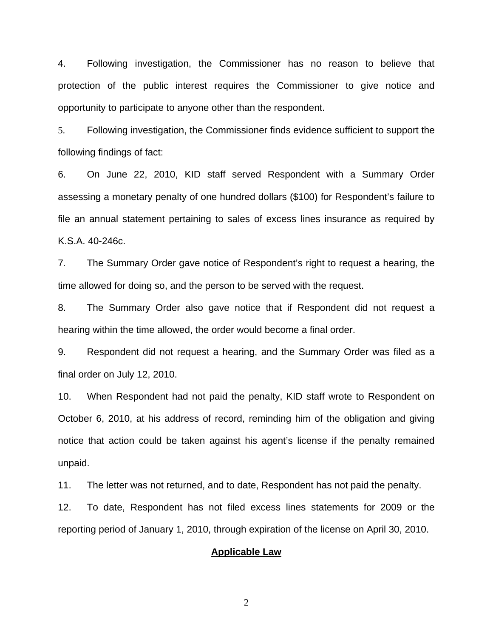4. Following investigation, the Commissioner has no reason to believe that protection of the public interest requires the Commissioner to give notice and opportunity to participate to anyone other than the respondent.

5. Following investigation, the Commissioner finds evidence sufficient to support the following findings of fact:

6. On June 22, 2010, KID staff served Respondent with a Summary Order assessing a monetary penalty of one hundred dollars (\$100) for Respondent's failure to file an annual statement pertaining to sales of excess lines insurance as required by K.S.A. 40-246c.

7. The Summary Order gave notice of Respondent's right to request a hearing, the time allowed for doing so, and the person to be served with the request.

8. The Summary Order also gave notice that if Respondent did not request a hearing within the time allowed, the order would become a final order.

9. Respondent did not request a hearing, and the Summary Order was filed as a final order on July 12, 2010.

10. When Respondent had not paid the penalty, KID staff wrote to Respondent on October 6, 2010, at his address of record, reminding him of the obligation and giving notice that action could be taken against his agent's license if the penalty remained unpaid.

11. The letter was not returned, and to date, Respondent has not paid the penalty.

12. To date, Respondent has not filed excess lines statements for 2009 or the reporting period of January 1, 2010, through expiration of the license on April 30, 2010.

#### **Applicable Law**

2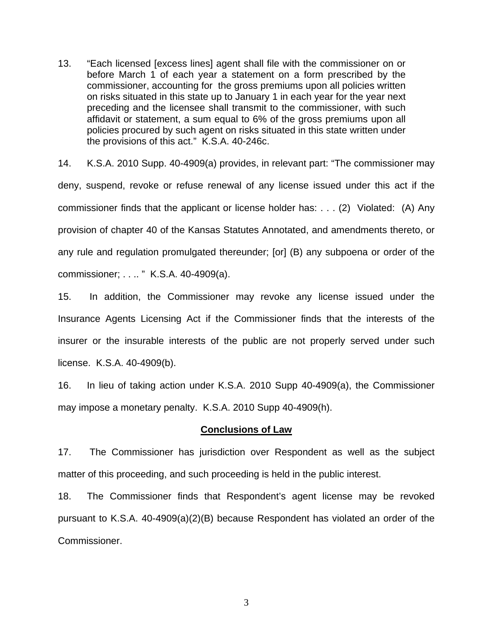13. "Each licensed [excess lines] agent shall file with the commissioner on or before March 1 of each year a statement on a form prescribed by the commissioner, accounting for the gross premiums upon all policies written on risks situated in this state up to January 1 in each year for the year next preceding and the licensee shall transmit to the commissioner, with such affidavit or statement, a sum equal to 6% of the gross premiums upon all policies procured by such agent on risks situated in this state written under the provisions of this act." K.S.A. 40-246c.

14. K.S.A. 2010 Supp. 40-4909(a) provides, in relevant part: "The commissioner may deny, suspend, revoke or refuse renewal of any license issued under this act if the commissioner finds that the applicant or license holder has: . . . (2) Violated: (A) Any provision of chapter 40 of the Kansas Statutes Annotated, and amendments thereto, or any rule and regulation promulgated thereunder; [or] (B) any subpoena or order of the commissioner; . . .. " K.S.A. 40-4909(a).

15. In addition, the Commissioner may revoke any license issued under the Insurance Agents Licensing Act if the Commissioner finds that the interests of the insurer or the insurable interests of the public are not properly served under such license. K.S.A. 40-4909(b).

16. In lieu of taking action under K.S.A. 2010 Supp 40-4909(a), the Commissioner may impose a monetary penalty. K.S.A. 2010 Supp 40-4909(h).

### **Conclusions of Law**

17. The Commissioner has jurisdiction over Respondent as well as the subject matter of this proceeding, and such proceeding is held in the public interest.

18. The Commissioner finds that Respondent's agent license may be revoked pursuant to K.S.A. 40-4909(a)(2)(B) because Respondent has violated an order of the Commissioner.

3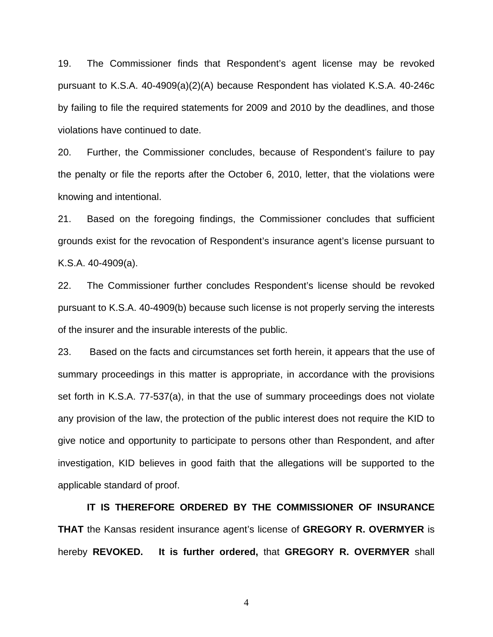19. The Commissioner finds that Respondent's agent license may be revoked pursuant to K.S.A. 40-4909(a)(2)(A) because Respondent has violated K.S.A. 40-246c by failing to file the required statements for 2009 and 2010 by the deadlines, and those violations have continued to date.

20. Further, the Commissioner concludes, because of Respondent's failure to pay the penalty or file the reports after the October 6, 2010, letter, that the violations were knowing and intentional.

21. Based on the foregoing findings, the Commissioner concludes that sufficient grounds exist for the revocation of Respondent's insurance agent's license pursuant to K.S.A. 40-4909(a).

22. The Commissioner further concludes Respondent's license should be revoked pursuant to K.S.A. 40-4909(b) because such license is not properly serving the interests of the insurer and the insurable interests of the public.

23. Based on the facts and circumstances set forth herein, it appears that the use of summary proceedings in this matter is appropriate, in accordance with the provisions set forth in K.S.A. 77-537(a), in that the use of summary proceedings does not violate any provision of the law, the protection of the public interest does not require the KID to give notice and opportunity to participate to persons other than Respondent, and after investigation, KID believes in good faith that the allegations will be supported to the applicable standard of proof.

 **IT IS THEREFORE ORDERED BY THE COMMISSIONER OF INSURANCE THAT** the Kansas resident insurance agent's license of **GREGORY R. OVERMYER** is hereby **REVOKED. It is further ordered,** that **GREGORY R. OVERMYER** shall

4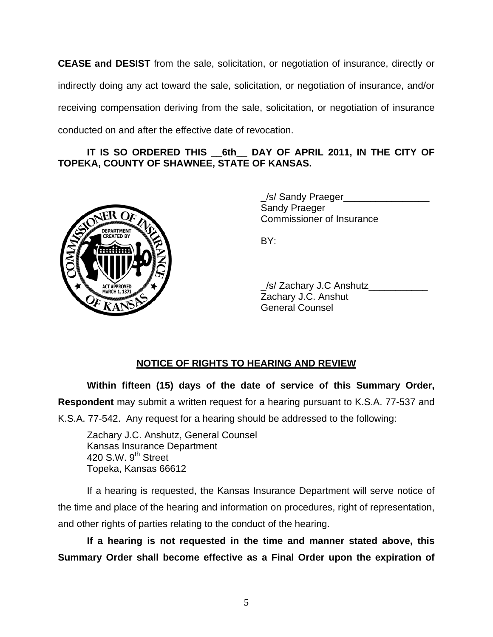**CEASE and DESIST** from the sale, solicitation, or negotiation of insurance, directly or indirectly doing any act toward the sale, solicitation, or negotiation of insurance, and/or receiving compensation deriving from the sale, solicitation, or negotiation of insurance conducted on and after the effective date of revocation.

## IT IS SO ORDERED THIS 6th DAY OF APRIL 2011, IN THE CITY OF **TOPEKA, COUNTY OF SHAWNEE, STATE OF KANSAS.**



 \_/s/ Sandy Praeger\_\_\_\_\_\_\_\_\_\_\_\_\_\_\_\_ Sandy Praeger Commissioner of Insurance

| ACTAPROVER AND A | /s/ Zachary J.C Anshutz |
|------------------|-------------------------|
|                  | Zachary J.C. Anshut     |
|                  | <b>General Counsel</b>  |

## **NOTICE OF RIGHTS TO HEARING AND REVIEW**

**Within fifteen (15) days of the date of service of this Summary Order, Respondent** may submit a written request for a hearing pursuant to K.S.A. 77-537 and K.S.A. 77-542. Any request for a hearing should be addressed to the following:

 Zachary J.C. Anshutz, General Counsel Kansas Insurance Department 420 S.W.  $9<sup>th</sup>$  Street Topeka, Kansas 66612

If a hearing is requested, the Kansas Insurance Department will serve notice of the time and place of the hearing and information on procedures, right of representation, and other rights of parties relating to the conduct of the hearing.

**If a hearing is not requested in the time and manner stated above, this Summary Order shall become effective as a Final Order upon the expiration of**